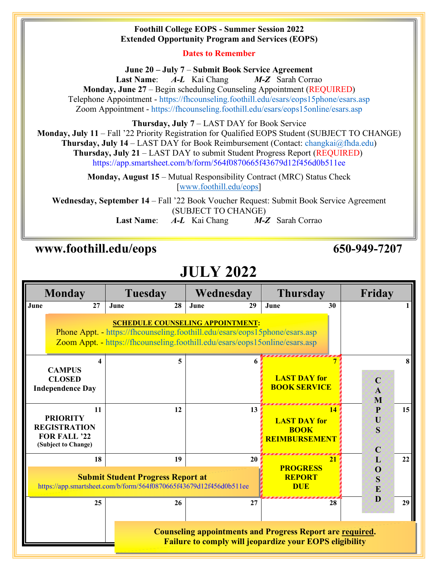#### **Foothill College EOPS - Summer Session 2022 Extended Opportunity Program and Services (EOPS)**

### **Dates to Remember**

**June 20 – July 7** – **Submit Book Service Agreement Last Name**: *A-L* Kai Chang *M-Z* Sarah Corrao **Monday, June 27** – Begin scheduling Counseling Appointment (REQUIRED) Telephone Appointment - https://fhcounseling.foothill.edu/esars/eops15phone/esars.asp Zoom Appointment - https://fhcounseling.foothill.edu/esars/eops15online/esars.asp

**Thursday, July 7** – LAST DAY for Book Service

**Monday, July 11** – Fall '22 Priority Registration for Qualified EOPS Student (SUBJECT TO CHANGE)

**Thursday, July 14** – LAST DAY for Book Reimbursement (Contact: changkai@fhda.edu)

**Thursday, July 21** – LAST DAY to submit Student Progress Report (REQUIRED) https://app.smartsheet.com/b/form/564f0870665f43679d12f456d0b511ee

**Monday, August 15** – Mutual Responsibility Contract (MRC) Status Check [www.foothill.edu/eops]

**Wednesday, September 14** – Fall '22 Book Voucher Request: Submit Book Service Agreement (SUBJECT TO CHANGE) **Last Name**: *A-L* Kai Chang *M-Z* Sarah Corrao

### **www.foothill.edu/eops 650-949-7207**

# **JULY 2022**

| <b>Monday</b>                                                  |                                                                                            | <b>Tuesday</b>                                                                                                                                                                                        |      | Wednesday | <b>Thursday</b>                                                  |    | Friday                           |
|----------------------------------------------------------------|--------------------------------------------------------------------------------------------|-------------------------------------------------------------------------------------------------------------------------------------------------------------------------------------------------------|------|-----------|------------------------------------------------------------------|----|----------------------------------|
| June                                                           | 27                                                                                         | 28<br>June                                                                                                                                                                                            | June | 29        | June                                                             | 30 |                                  |
|                                                                |                                                                                            | <b>SCHEDULE COUNSELING APPOINTMENT:</b><br>Phone Appt. - https://fhcounseling.foothill.edu/esars/eops15phone/esars.asp<br>Zoom Appt. - https://fhcounseling.foothill.edu/esars/eops15online/esars.asp |      |           |                                                                  |    |                                  |
|                                                                | <b>CAMPUS</b><br><b>CLOSED</b><br><b>Independence Day</b>                                  |                                                                                                                                                                                                       | 5    |           | <b>LAST DAY for</b><br><b>BOOK SERVICE</b>                       |    | $\mathbf C$<br>$\mathbf{A}$<br>M |
|                                                                | 11<br><b>PRIORITY</b><br><b>REGISTRATION</b><br><b>FOR FALL '22</b><br>(Subject to Change) | 12                                                                                                                                                                                                    |      | 13        | <b>LAST DAY for</b><br><b>BOOK</b><br><b>REIMBURSEMENT</b>       | 14 | 15<br>P<br>U<br>S<br>$\mathbf C$ |
|                                                                | 18                                                                                         | 19<br><b>Submit Student Progress Report at</b><br>https://app.smartsheet.com/b/form/564f0870665f43679d12f456d0b511ee                                                                                  |      | 20        | <b>PROGRESS</b><br><b>REPORT</b><br><b>DUE</b>                   | 21 | 22<br>L<br>O<br>S<br>E           |
|                                                                | 25                                                                                         | 26                                                                                                                                                                                                    |      | 27        | <b>Counseling appointments and Progress Report are required.</b> | 28 | D<br>29                          |
| <b>Failure to comply will jeopardize your EOPS eligibility</b> |                                                                                            |                                                                                                                                                                                                       |      |           |                                                                  |    |                                  |